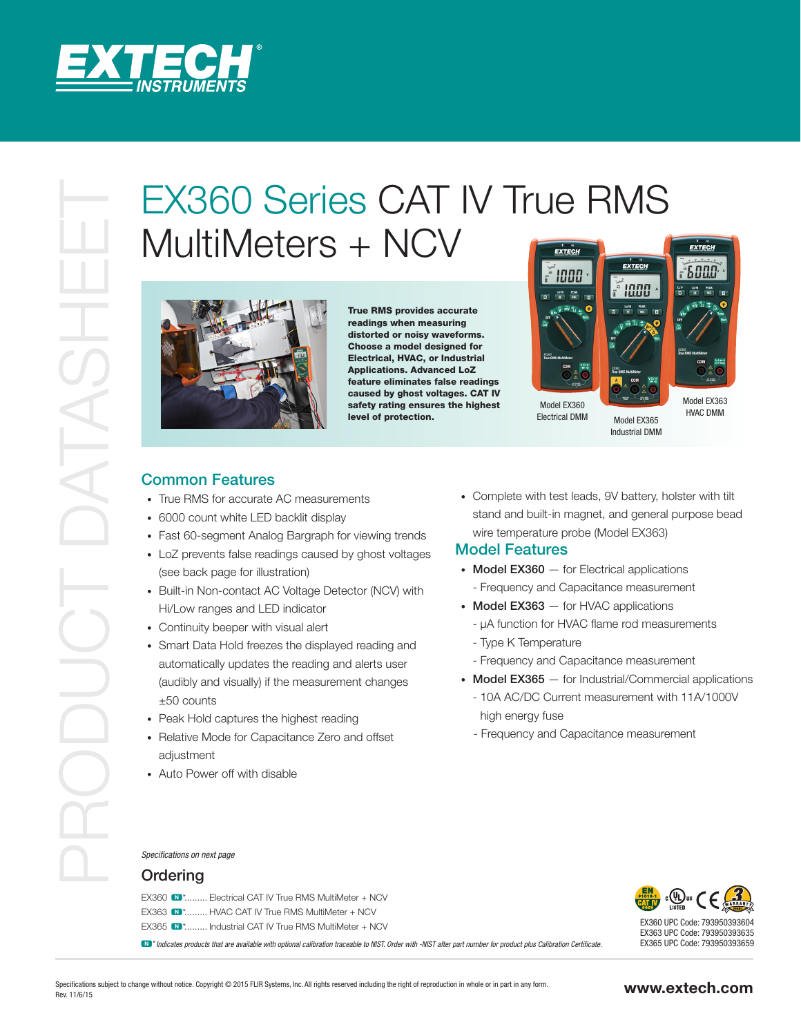

# EX360 Series CAT IV True RMS<br>
MultiMeters + NCV<br>
The mass provide series control to the series control to the mass provide series control to the mass provide the control to the control to the control to the control to the MultiMeters + NCV



True RMS provides accurate readings when measuring distorted or noisy waveforms. Choose a model designed for Electrical, HVAC, or Industrial Applications. Advanced LoZ feature eliminates false readings caused by ghost voltages. CAT IV safety rating ensures the highest level of protection.



Model EX365 Industrial DMM

Electrical DMM

HVAC DMM

# Common Features

- True RMS for accurate AC measurements
- 6000 count white LED backlit display
- Fast 60-segment Analog Bargraph for viewing trends
- LoZ prevents false readings caused by ghost voltages (see back page for illustration)
- Built-in Non-contact AC Voltage Detector (NCV) with Hi/Low ranges and LED indicator
- Continuity beeper with visual alert
- Smart Data Hold freezes the displayed reading and automatically updates the reading and alerts user (audibly and visually) if the measurement changes ±50 counts
- Peak Hold captures the highest reading
- Relative Mode for Capacitance Zero and offset adjustment
- Auto Power off with disable

• Complete with test leads, 9V battery, holster with tilt stand and built-in magnet, and general purpose bead wire temperature probe (Model EX363)

# Model Features

- Model EX360 for Electrical applications
- Frequency and Capacitance measurement
- Model EX363 for HVAC applications
	- µA function for HVAC flame rod measurements
	- Type K Temperature
- Frequency and Capacitance measurement
- Model EX365 for Industrial/Commercial applications
	- 10A AC/DC Current measurement with 11A/1000V high energy fuse
	- Frequency and Capacitance measurement

### *Specifications on next page*

### Ordering

EX360  $\blacksquare$ \*......... Electrical CAT IV True RMS MultiMeter + NCV EX363 N \*......... HVAC CAT IV True RMS MultiMeter + NCV EX365 N<sup>\*</sup>......... Industrial CAT IV True RMS MultiMeter + NCV

N \**Indicates products that are available with optional calibration traceable to NIST. Order with -NIST after part number for product plus Calibration Certificate.*